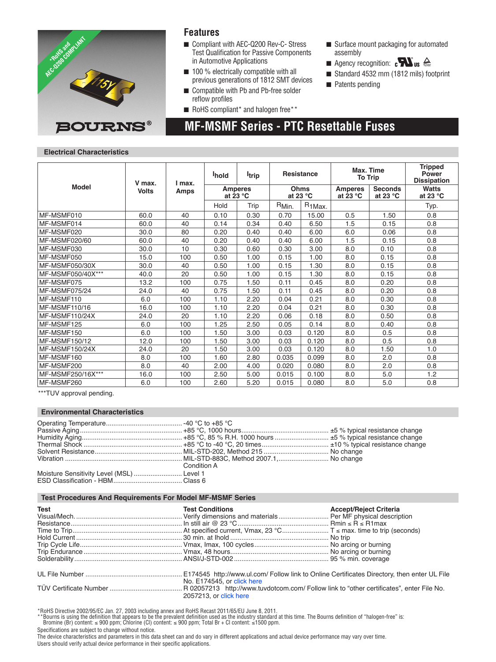

### **Features**

- Compliant with AEC-Q200 Rev-C- Stress Test Qualification for Passive Components in Automotive Applications
- $\blacksquare$  100 % electrically compatible with all previous generations of 1812 SMT devices

 **MF-MSMF Series - PTC Resettable Fuses**

- Compatible with Pb and Pb-free solder reflow profiles
- $\blacksquare$  RoHS compliant\* and halogen free\*\*
- $\blacksquare$  Surface mount packaging for automated assembly **Formated b**<br>**b**atem
- **n** Agency recognition:  $\mathbf{c}$ **N**<sup>t</sup>us  $\triangleq$
- Standard 4532 mm (1812 mils) footprint
- $\blacksquare$  Patents pending

### **Electrical Characteristics**

|                       | V max.<br><b>Volts</b> | I max.<br>Amps | <sup>I</sup> hold            | <b>Itrip</b> | <b>Resistance</b>          |             | Max. Time<br><b>To Trip</b>  |                                      | <b>Tripped</b><br>Power<br><b>Dissipation</b> |
|-----------------------|------------------------|----------------|------------------------------|--------------|----------------------------|-------------|------------------------------|--------------------------------------|-----------------------------------------------|
| <b>Model</b>          |                        |                | <b>Amperes</b><br>at $23 °C$ |              | Ohms<br>at 23 $^{\circ}$ C |             | <b>Amperes</b><br>at $23 °C$ | <b>Seconds</b><br>at 23 $^{\circ}$ C | Watts<br>at 23 $^{\circ}$ C                   |
|                       |                        |                | Hold                         | Trip         | R <sub>Min.</sub>          | $R_{1Max.}$ |                              |                                      | Typ.                                          |
| MF-MSMF010            | 60.0                   | 40             | 0.10                         | 0.30         | 0.70                       | 15.00       | 0.5                          | 1.50                                 | 0.8                                           |
| MF-MSMF014            | 60.0                   | 40             | 0.14                         | 0.34         | 0.40                       | 6.50        | 1.5                          | 0.15                                 | 0.8                                           |
| MF-MSMF020            | 30.0                   | 80             | 0.20                         | 0.40         | 0.40                       | 6.00        | 6.0                          | 0.06                                 | 0.8                                           |
| MF-MSMF020/60         | 60.0                   | 40             | 0.20                         | 0.40         | 0.40                       | 6.00        | 1.5                          | 0.15                                 | 0.8                                           |
| MF-MSMF030            | 30.0                   | 10             | 0.30                         | 0.60         | 0.30                       | 3.00        | 8.0                          | 0.10                                 | 0.8                                           |
| MF-MSMF050            | 15.0                   | 100            | 0.50                         | 1.00         | 0.15                       | 1.00        | 8.0                          | 0.15                                 | 0.8                                           |
| MF-MSMF050/30X        | 30.0                   | 40             | 0.50                         | 1.00         | 0.15                       | 1.30        | 8.0                          | 0.15                                 | 0.8                                           |
| MF-MSMF050/40X***     | 40.0                   | 20             | 0.50                         | 1.00         | 0.15                       | 1.30        | 8.0                          | 0.15                                 | 0.8                                           |
| MF-MSMF075            | 13.2                   | 100            | 0.75                         | 1.50         | 0.11                       | 0.45        | 8.0                          | 0.20                                 | 0.8                                           |
| MF-MSMF075/24         | 24.0                   | 40             | 0.75                         | 1.50         | 0.11                       | 0.45        | 8.0                          | 0.20                                 | 0.8                                           |
| MF-MSMF110            | 6.0                    | 100            | 1.10                         | 2.20         | 0.04                       | 0.21        | 8.0                          | 0.30                                 | 0.8                                           |
| MF-MSMF110/16         | 16.0                   | 100            | 1.10                         | 2.20         | 0.04                       | 0.21        | 8.0                          | 0.30                                 | 0.8                                           |
| <b>MF-MSMF110/24X</b> | 24.0                   | 20             | 1.10                         | 2.20         | 0.06                       | 0.18        | 8.0                          | 0.50                                 | 0.8                                           |
| MF-MSMF125            | 6.0                    | 100            | 1.25                         | 2.50         | 0.05                       | 0.14        | 8.0                          | 0.40                                 | 0.8                                           |
| MF-MSMF150            | 6.0                    | 100            | 1.50                         | 3.00         | 0.03                       | 0.120       | 8.0                          | 0.5                                  | 0.8                                           |
| MF-MSMF150/12         | 12.0                   | 100            | 1.50                         | 3.00         | 0.03                       | 0.120       | 8.0                          | 0.5                                  | 0.8                                           |
| <b>MF-MSMF150/24X</b> | 24.0                   | 20             | 1.50                         | 3.00         | 0.03                       | 0.120       | 8.0                          | 1.50                                 | 1.0                                           |
| MF-MSMF160            | 8.0                    | 100            | 1.60                         | 2.80         | 0.035                      | 0.099       | 8.0                          | 2.0                                  | 0.8                                           |
| MF-MSMF200            | 8.0                    | 40             | 2.00                         | 4.00         | 0.020                      | 0.080       | 8.0                          | 2.0                                  | 0.8                                           |
| MF-MSMF250/16X***     | 16.0                   | 100            | 2.50                         | 5.00         | 0.015                      | 0.100       | 8.0                          | 5.0                                  | 1.2                                           |
| MF-MSMF260            | 6.0                    | 100            | 2.60                         | 5.20         | 0.015                      | 0.080       | 8.0                          | 5.0                                  | 0.8                                           |

\*\*\*TUV approval pending.

#### **Environmental Characteristics**

|                                           | Condition A |  |
|-------------------------------------------|-------------|--|
| Moisture Sensitivity Level (MSL)  Level 1 |             |  |
|                                           |             |  |

#### **Test Procedures And Requirements For Model MF-MSMF Series**

| <b>Test</b> | <b>Test Conditions</b>     | <b>Accept/Reject Criteria</b> |
|-------------|----------------------------|-------------------------------|
|             |                            |                               |
|             |                            |                               |
|             |                            |                               |
|             |                            |                               |
|             |                            |                               |
|             |                            |                               |
|             |                            |                               |
|             |                            |                               |
|             | No. E174545, or click here |                               |
|             |                            |                               |
|             | 2057213, or click here     |                               |

\*RoHS Directive 2002/95/EC Jan. 27, 2003 including annex and RoHS Recast 2011/65/EU June 8, 2011.<br>\*\*Bourns is using the definition that appears to be the prevalent definition used as the industry standard at this time. Th

Specifications are subject to change without notice.

The device characteristics and parameters in this data sheet can and do vary in different applications and actual device performance may vary over time. Users should verify actual device performance in their specific applications.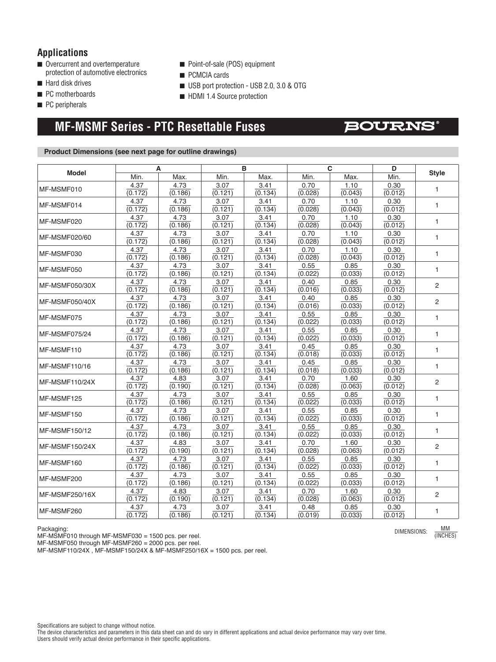### **Applications**

- $\blacksquare$  Overcurrent and overtemperature protection of automotive electronics
- $\blacksquare$  Hard disk drives
- PC motherboards
- $\blacksquare$  PC peripherals
- Point-of-sale (POS) equipment
- **n** PCMCIA cards
- USB port protection USB 2.0, 3.0 & OTG
- HDMI 1.4 Source protection

# **MF-MSMF Series - PTC Resettable Fuses**

### **BOURNS**

#### **Product Dimensions (see next page for outline drawings)**

| <b>Model</b>         | A                    |                 | B               |                 | C               |                 | D                    |                |
|----------------------|----------------------|-----------------|-----------------|-----------------|-----------------|-----------------|----------------------|----------------|
|                      | Min.                 | Max.            | Min.            | Max.            | Min.            | Max.            | Min.                 | <b>Style</b>   |
| MF-MSMF010           | 4.37                 | 4.73            | 3.07            | 3.41            | 0.70            | 1.10            | 0.30                 | 1              |
|                      | (0.172)              | (0.186)         | (0.121)         | (0.134)         | (0.028)         | (0.043)         | (0.012)              |                |
| MF-MSMF014           | 4.37                 | 4.73            | 3.07            | 3.41            | 0.70            | 1.10            | 0.30                 | $\mathbf{1}$   |
|                      | (0.172)              | (0.186)         | (0.121)         | (0.134)         | (0.028)         | (0.043)         | (0.012)              |                |
| MF-MSMF020           | 4.37<br>(0.172)      | 4.73<br>(0.186) | 3.07<br>(0.121) | 3.41<br>(0.134) | 0.70<br>(0.028) | 1.10<br>(0.043) | 0.30<br>(0.012)      | $\mathbf{1}$   |
|                      | 4.37                 | 4.73            | 3.07            | 3.41            | 0.70            | 1.10            | 0.30                 |                |
| MF-MSMF020/60        | (0.172)              | (0.186)         | (0.121)         | (0.134)         | (0.028)         | (0.043)         | $\overline{(0.012)}$ | $\mathbf{1}$   |
|                      | 4.37                 | 4.73            | 3.07            | 3.41            | 0.70            | 1.10            | 0.30                 |                |
| MF-MSMF030           | (0.172)              | (0.186)         | (0.121)         | (0.134)         | (0.028)         | (0.043)         | (0.012)              | 1              |
|                      | 4.37                 | 4.73            | 3.07            | 3.41            | 0.55            | 0.85            | 0.30                 |                |
| MF-MSMF050           | (0.172)              | (0.186)         | (0.121)         | (0.134)         | (0.022)         | (0.033)         | (0.012)              | $\mathbf{1}$   |
| MF-MSMF050/30X       | 4.37                 | 4.73            | 3.07            | 3.41            | 0.40            | 0.85            | 0.30                 | $\overline{c}$ |
|                      | (0.172)              | (0.186)         | (0.121)         | (0.134)         | (0.016)         | (0.033)         | (0.012)              |                |
| MF-MSMF050/40X       | 4.37                 | 4.73            | 3.07            | 3.41            | 0.40            | 0.85            | 0.30                 | 2              |
|                      | $\overline{(0.172)}$ | (0.186)         | (0.121)         | (0.134)         | (0.016)         | (0.033)         | (0.012)              |                |
| MF-MSMF075           | 4.37                 | 4.73            | 3.07            | 3.41            | 0.55            | 0.85            | 0.30                 | 1              |
|                      | (0.172)              | (0.186)         | (0.121)         | (0.134)         | (0.022)         | (0.033)         | (0.012)              |                |
| MF-MSMF075/24        | 4.37                 | 4.73            | 3.07            | 3.41            | 0.55            | 0.85            | 0.30                 | $\mathbf{1}$   |
|                      | (0.172)              | (0.186)         | (0.121)<br>3.07 | (0.134)         | (0.022)         | (0.033)<br>0.85 | (0.012)              |                |
| MF-MSMF110           | 4.37<br>(0.172)      | 4.73<br>(0.186) | (0.121)         | 3.41<br>(0.134) | 0.45<br>(0.018) | (0.033)         | 0.30<br>(0.012)      | $\mathbf{1}$   |
|                      | 4.37                 | 4.73            | 3.07            | 3.41            | 0.45            | 0.85            | 0.30                 |                |
| MF-MSMF110/16        | (0.172)              | (0.186)         | (0.121)         | (0.134)         | (0.018)         | (0.033)         | (0.012)              | $\mathbf{1}$   |
|                      | 4.37                 | 4.83            | 3.07            | 3.41            | 0.70            | 1.60            | 0.30                 |                |
| MF-MSMF110/24X       | (0.172)              | (0.190)         | (0.121)         | (0.134)         | (0.028)         | (0.063)         | (0.012)              | $\overline{2}$ |
|                      | 4.37                 | 4.73            | 3.07            | 3.41            | 0.55            | 0.85            | 0.30                 | 1              |
| MF-MSMF125           | (0.172)              | (0.186)         | (0.121)         | (0.134)         | (0.022)         | (0.033)         | (0.012)              |                |
| MF-MSMF150           | 4.37                 | 4.73            | 3.07            | 3.41            | 0.55            | 0.85            | 0.30                 | $\mathbf{1}$   |
|                      | (0.172)              | (0.186)         | (0.121)         | (0.134)         | (0.022)         | (0.033)         | (0.012)              |                |
| <b>MF-MSMF150/12</b> | 4.37                 | 4.73            | 3.07            | 3.41            | 0.55            | 0.85            | 0.30                 | $\mathbf{1}$   |
|                      | (0.172)              | (0.186)         | (0.121)         | (0.134)         | (0.022)         | (0.033)         | (0.012)              |                |
| MF-MSMF150/24X       | 4.37                 | 4.83            | 3.07            | 3.41            | 0.70            | 1.60            | 0.30                 | $\overline{2}$ |
|                      | (0.172)              | (0.190)         | (0.121)         | (0.134)         | (0.028)         | (0.063)         | (0.012)              |                |
| MF-MSMF160           | 4.37<br>(0.172)      | 4.73<br>(0.186) | 3.07<br>(0.121) | 3.41<br>(0.134) | 0.55<br>(0.022) | 0.85<br>(0.033) | 0.30<br>(0.012)      | $\mathbf{1}$   |
| MF-MSMF200           | 4.37                 | 4.73            | 3.07            | 3.41            | 0.55            | 0.85            | 0.30                 | $\mathbf{1}$   |
|                      | (0.172)              | (0.186)         | (0.121)         | (0.134)         | (0.022)         | (0.033)         | (0.012)              |                |
|                      | 4.37                 | 4.83            | 3.07            | 3.41            | 0.70            | 1.60            | 0.30                 |                |
| MF-MSMF250/16X       | (0.172)              | (0.190)         | (0.121)         | (0.134)         | (0.028)         | (0.063)         | (0.012)              | $\overline{2}$ |
|                      | 4.37                 | 4.73            | 3.07            | 3.41            | 0.48            | 0.85            | 0.30                 |                |
| MF-MSMF260           | (0.172)              | (0.186)         | (0.121)         | (0.134)         | (0.019)         | (0.033)         | (0.012)              | $\mathbf{1}$   |

Packaging:

MF-MSMF010 through MF-MSMF030 = 1500 pcs. per reel.

MF-MSMF050 through MF-MSMF260 = 2000 pcs. per reel.

MF-MSMF110/24X , MF-MSMF150/24X & MF-MSMF250/16X = 1500 pcs. per reel.

DIMENSIONS: MM

The device characteristics and parameters in this data sheet can and do vary in different applications and actual device performance may vary over time. Users should verify actual device performance in their specific applications.

<sup>(</sup>INCHES)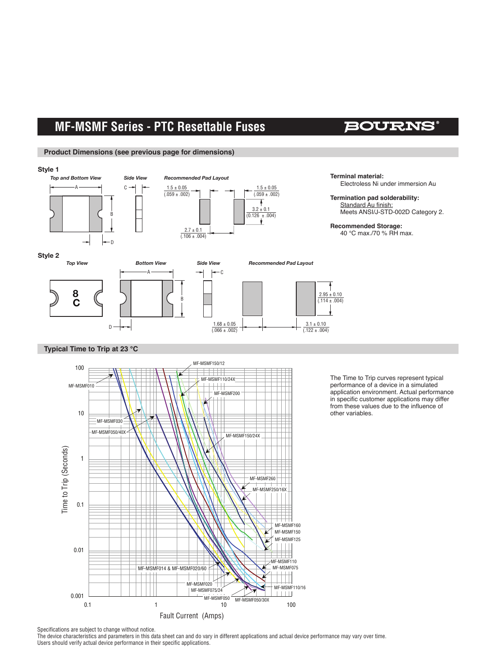## **MF-MSMF Series - PTC Resettable Fuses**

## **BOURNS**

#### **Product Dimensions (see previous page for dimensions)**



#### **Typical Time to Trip at 23 °C**



The Time to Trip curves represent typical performance of a device in a simulated application environment. Actual performance in specific customer applications may differ from these values due to the influence of other variables.

Specifications are subject to change without notice.

The device characteristics and parameters in this data sheet can and do vary in different applications and actual device performance may vary over time. Users should verify actual device performance in their specific applications.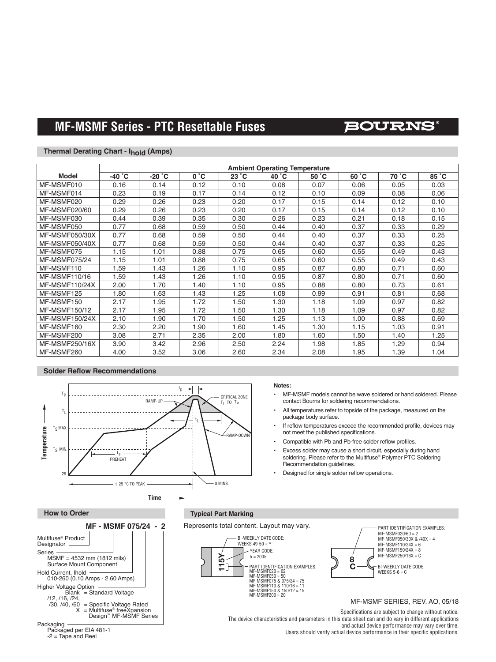# **MF-MSMF Series - PTC Resettable Fuses**

### **BOURNS®**

#### **Thermal Derating Chart - Ihold (Amps)**

|                       | <b>Ambient Operating Temperature</b> |                 |      |                |       |       |       |       |       |
|-----------------------|--------------------------------------|-----------------|------|----------------|-------|-------|-------|-------|-------|
| <b>Model</b>          | $-40\degree$ C                       | $-20^{\circ}$ C | 0°C  | $23^{\circ}$ C | 40 °C | 50 °C | 60 °C | 70 °C | 85 °C |
| MF-MSMF010            | 0.16                                 | 0.14            | 0.12 | 0.10           | 0.08  | 0.07  | 0.06  | 0.05  | 0.03  |
| MF-MSMF014            | 0.23                                 | 0.19            | 0.17 | 0.14           | 0.12  | 0.10  | 0.09  | 0.08  | 0.06  |
| MF-MSMF020            | 0.29                                 | 0.26            | 0.23 | 0.20           | 0.17  | 0.15  | 0.14  | 0.12  | 0.10  |
| MF-MSMF020/60         | 0.29                                 | 0.26            | 0.23 | 0.20           | 0.17  | 0.15  | 0.14  | 0.12  | 0.10  |
| MF-MSMF030            | 0.44                                 | 0.39            | 0.35 | 0.30           | 0.26  | 0.23  | 0.21  | 0.18  | 0.15  |
| MF-MSMF050            | 0.77                                 | 0.68            | 0.59 | 0.50           | 0.44  | 0.40  | 0.37  | 0.33  | 0.29  |
| MF-MSMF050/30X        | 0.77                                 | 0.68            | 0.59 | 0.50           | 0.44  | 0.40  | 0.37  | 0.33  | 0.25  |
| MF-MSMF050/40X        | 0.77                                 | 0.68            | 0.59 | 0.50           | 0.44  | 0.40  | 0.37  | 0.33  | 0.25  |
| MF-MSMF075            | 1.15                                 | 1.01            | 0.88 | 0.75           | 0.65  | 0.60  | 0.55  | 0.49  | 0.43  |
| MF-MSMF075/24         | 1.15                                 | 1.01            | 0.88 | 0.75           | 0.65  | 0.60  | 0.55  | 0.49  | 0.43  |
| MF-MSMF110            | 1.59                                 | 1.43            | 1.26 | 1.10           | 0.95  | 0.87  | 0.80  | 0.71  | 0.60  |
| MF-MSMF110/16         | 1.59                                 | 1.43            | 1.26 | 1.10           | 0.95  | 0.87  | 0.80  | 0.71  | 0.60  |
| <b>MF-MSMF110/24X</b> | 2.00                                 | 1.70            | 1.40 | 1.10           | 0.95  | 0.88  | 0.80  | 0.73  | 0.61  |
| MF-MSMF125            | 1.80                                 | 1.63            | 1.43 | 1.25           | 1.08  | 0.99  | 0.91  | 0.81  | 0.68  |
| MF-MSMF150            | 2.17                                 | 1.95            | 1.72 | 1.50           | 1.30  | 1.18  | 1.09  | 0.97  | 0.82  |
| MF-MSMF150/12         | 2.17                                 | 1.95            | 1.72 | 1.50           | 1.30  | 1.18  | 1.09  | 0.97  | 0.82  |
| MF-MSMF150/24X        | 2.10                                 | 1.90            | 1.70 | 1.50           | 1.25  | 1.13  | 1.00  | 0.88  | 0.69  |
| MF-MSMF160            | 2.30                                 | 2.20            | 1.90 | 1.60           | 1.45  | 1.30  | 1.15  | 1.03  | 0.91  |
| MF-MSMF200            | 3.08                                 | 2.71            | 2.35 | 2.00           | 1.80  | 1.60  | 1.50  | 1.40  | 1.25  |
| MF-MSMF250/16X        | 3.90                                 | 3.42            | 2.96 | 2.50           | 2.24  | 1.98  | 1.85  | 1.29  | 0.94  |
| MF-MSMF260            | 4.00                                 | 3.52            | 3.06 | 2.60           | 2.34  | 2.08  | 1.95  | 1.39  | 1.04  |

#### **Solder Reflow Recommendations**

Series

Packaging -

Packaged per EIA 481-1 -2 = Tape and Reel

Packaged per FIA 481-1



 $-2 = I$  ape and Heel

#### **Notes:**

- MF-MSMF models cannot be wave soldered or hand soldered. Please contact Bourns for soldering recommendations.
- All temperatures refer to topside of the package, measured on the package body surface.
- If reflow temperatures exceed the recommended profile, devices may not meet the published specifications.
- Compatible with Pb and Pb-free solder reflow profiles.
- YEAR CODE: • Excess solder may cause a short circuit, especially during hand soldering. Please refer to the Multifuse® Polymer PTC Soldering Recommendation guidelines.
- **115 Recommendation guidelines.**<br>• Designed for single solder reflow operations.



The device characteristics and parameters in this data sheet can and do vary in different applications<br>
and orthogological device performance may use time and actual device performance may vary over time. and actual device performance may vary over time.<br>Users should verify actual device performance in their specific applications. and paramotoro in thio data onoot oan and t